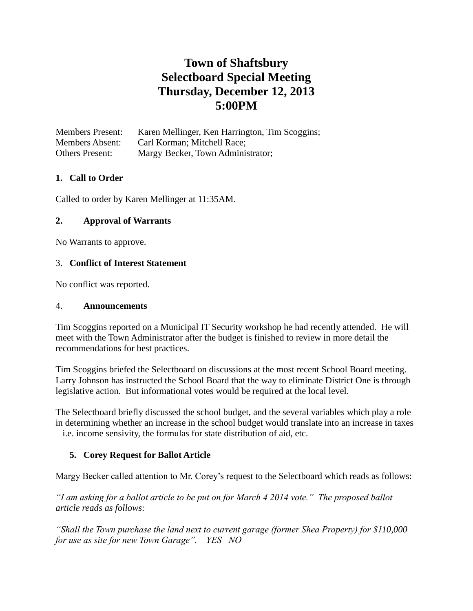# **Town of Shaftsbury Selectboard Special Meeting Thursday, December 12, 2013 5:00PM**

Members Present: Karen Mellinger, Ken Harrington, Tim Scoggins; Members Absent: Carl Korman; Mitchell Race; Others Present: Margy Becker, Town Administrator;

# **1. Call to Order**

Called to order by Karen Mellinger at 11:35AM.

## **2. Approval of Warrants**

No Warrants to approve.

## 3. **Conflict of Interest Statement**

No conflict was reported.

#### 4. **Announcements**

Tim Scoggins reported on a Municipal IT Security workshop he had recently attended. He will meet with the Town Administrator after the budget is finished to review in more detail the recommendations for best practices.

Tim Scoggins briefed the Selectboard on discussions at the most recent School Board meeting. Larry Johnson has instructed the School Board that the way to eliminate District One is through legislative action. But informational votes would be required at the local level.

The Selectboard briefly discussed the school budget, and the several variables which play a role in determining whether an increase in the school budget would translate into an increase in taxes – i.e. income sensivity, the formulas for state distribution of aid, etc.

## **5. Corey Request for Ballot Article**

Margy Becker called attention to Mr. Corey's request to the Selectboard which reads as follows:

*"I am asking for a ballot article to be put on for March 4 2014 vote." The proposed ballot article reads as follows:*

*"Shall the Town purchase the land next to current garage (former Shea Property) for \$110,000 for use as site for new Town Garage". YES NO*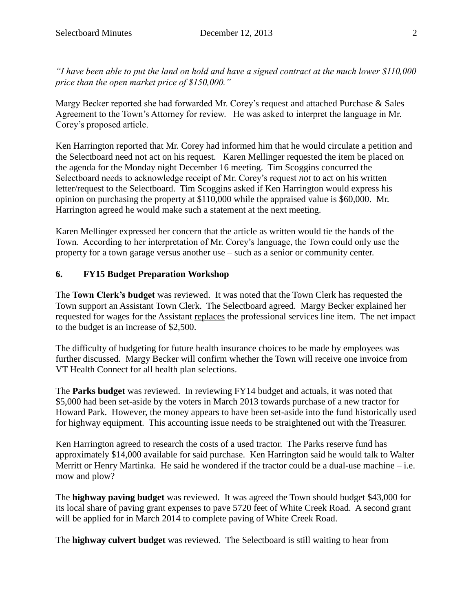*"I have been able to put the land on hold and have a signed contract at the much lower \$110,000 price than the open market price of \$150,000."*

Margy Becker reported she had forwarded Mr. Corey's request and attached Purchase & Sales Agreement to the Town's Attorney for review. He was asked to interpret the language in Mr. Corey's proposed article.

Ken Harrington reported that Mr. Corey had informed him that he would circulate a petition and the Selectboard need not act on his request. Karen Mellinger requested the item be placed on the agenda for the Monday night December 16 meeting. Tim Scoggins concurred the Selectboard needs to acknowledge receipt of Mr. Corey's request *not* to act on his written letter/request to the Selectboard. Tim Scoggins asked if Ken Harrington would express his opinion on purchasing the property at \$110,000 while the appraised value is \$60,000. Mr. Harrington agreed he would make such a statement at the next meeting.

Karen Mellinger expressed her concern that the article as written would tie the hands of the Town. According to her interpretation of Mr. Corey's language, the Town could only use the property for a town garage versus another use – such as a senior or community center.

# **6. FY15 Budget Preparation Workshop**

The **Town Clerk's budget** was reviewed. It was noted that the Town Clerk has requested the Town support an Assistant Town Clerk. The Selectboard agreed. Margy Becker explained her requested for wages for the Assistant replaces the professional services line item. The net impact to the budget is an increase of \$2,500.

The difficulty of budgeting for future health insurance choices to be made by employees was further discussed. Margy Becker will confirm whether the Town will receive one invoice from VT Health Connect for all health plan selections.

The **Parks budget** was reviewed. In reviewing FY14 budget and actuals, it was noted that \$5,000 had been set-aside by the voters in March 2013 towards purchase of a new tractor for Howard Park. However, the money appears to have been set-aside into the fund historically used for highway equipment. This accounting issue needs to be straightened out with the Treasurer.

Ken Harrington agreed to research the costs of a used tractor. The Parks reserve fund has approximately \$14,000 available for said purchase. Ken Harrington said he would talk to Walter Merritt or Henry Martinka. He said he wondered if the tractor could be a dual-use machine – i.e. mow and plow?

The **highway paving budget** was reviewed. It was agreed the Town should budget \$43,000 for its local share of paving grant expenses to pave 5720 feet of White Creek Road. A second grant will be applied for in March 2014 to complete paving of White Creek Road.

The **highway culvert budget** was reviewed. The Selectboard is still waiting to hear from